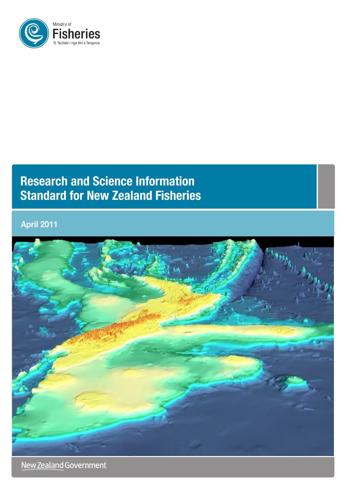

# **Research and Science Information Standard for New Zealand Fisheries**

**April 2011**



New Zealand Government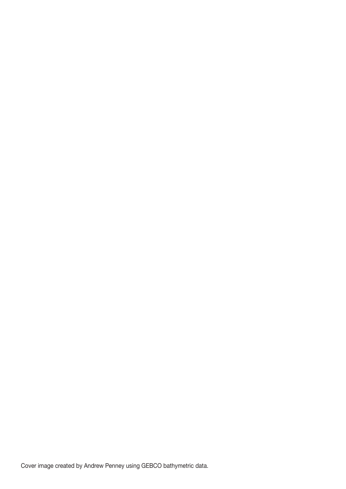Cover image created by Andrew Penney using GEBCO bathymetric data.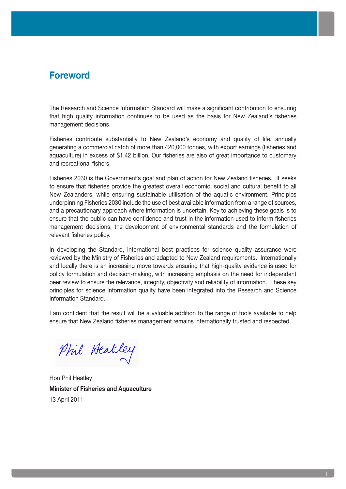## **Foreword**

The Research and Science Information Standard will make a significant contribution to ensuring that high quality information continues to be used as the basis for New Zealand's fisheries management decisions.

Fisheries contribute substantially to New Zealand's economy and quality of life, annually generating a commercial catch of more than 420,000 tonnes, with export earnings (fisheries and aquaculture) in excess of \$1.42 billion. Our fisheries are also of great importance to customary and recreational fishers.

Fisheries 2030 is the Government's goal and plan of action for New Zealand fisheries. It seeks to ensure that fisheries provide the greatest overall economic, social and cultural benefit to all New Zealanders, while ensuring sustainable utilisation of the aquatic environment. Principles underpinning Fisheries 2030 include the use of best available information from a range of sources, and a precautionary approach where information is uncertain. Key to achieving these goals is to ensure that the public can have confidence and trust in the information used to inform fisheries management decisions, the development of environmental standards and the formulation of relevant fisheries policy.

In developing the Standard, international best practices for science quality assurance were reviewed by the Ministry of Fisheries and adapted to New Zealand requirements. Internationally and locally there is an increasing move towards ensuring that high-quality evidence is used for policy formulation and decision-making, with increasing emphasis on the need for independent peer review to ensure the relevance, integrity, objectivity and reliability of information. These key principles for science information quality have been integrated into the Research and Science Information Standard.

I am confident that the result will be a valuable addition to the range of tools available to help ensure that New Zealand fisheries management remains internationally trusted and respected.

Phil Heatley

Hon Phil Heatley **Minister of Fisheries and Aquaculture** 13 April 2011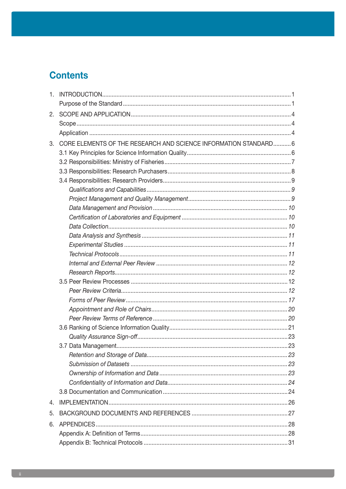# **Contents**

| 2. |                                                                  |  |
|----|------------------------------------------------------------------|--|
|    |                                                                  |  |
|    |                                                                  |  |
| 3. | CORE ELEMENTS OF THE RESEARCH AND SCIENCE INFORMATION STANDARD 6 |  |
|    |                                                                  |  |
|    |                                                                  |  |
|    |                                                                  |  |
|    |                                                                  |  |
|    |                                                                  |  |
|    |                                                                  |  |
|    |                                                                  |  |
|    |                                                                  |  |
|    |                                                                  |  |
|    |                                                                  |  |
|    |                                                                  |  |
|    |                                                                  |  |
|    |                                                                  |  |
|    |                                                                  |  |
|    |                                                                  |  |
|    |                                                                  |  |
|    |                                                                  |  |
|    |                                                                  |  |
|    |                                                                  |  |
|    |                                                                  |  |
|    |                                                                  |  |
|    |                                                                  |  |
|    |                                                                  |  |
|    |                                                                  |  |
|    |                                                                  |  |
|    |                                                                  |  |
|    |                                                                  |  |
| 4. |                                                                  |  |
| 5. |                                                                  |  |
| 6. |                                                                  |  |
|    |                                                                  |  |
|    |                                                                  |  |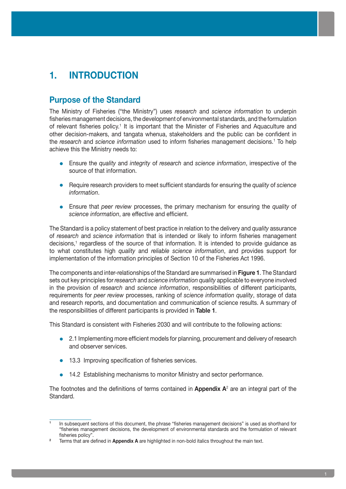# **1. INTRODUCTION**

### **Purpose of the Standard**

The Ministry of Fisheries ("the Ministry") uses *research* and *science information* to underpin fisheries management decisions, the development of environmental standards, and the formulation of relevant fisheries policy.<sup>1</sup> It is important that the Minister of Fisheries and Aquaculture and other decision-makers, and tangata whenua, stakeholders and the public can be confident in the *research* and *science information* used to inform fisheries management decisions.<sup>1</sup> To help achieve this the Ministry needs to:

- **•**  Ensure the *quality* and *integrity* of *research* and *science information*, irrespective of the source of that information.
- **•**  Require research providers to meet sufficient standards for ensuring the *quality* of *science information*.
- **•**  Ensure that *peer review* processes, the primary mechanism for ensuring the *quality* of *science information*, are effective and efficient.

The Standard is a policy statement of best practice in relation to the delivery and *quality* assurance of *research* and *science information* that is intended or likely to inform fisheries management decisions,<sup>1</sup> regardless of the source of that information. It is intended to provide guidance as to what constitutes high *quality* and *reliable science information*, and provides support for implementation of the information principles of Section 10 of the Fisheries Act 1996.

The components and inter-relationships of the Standard are summarised in **Figure 1**. The Standard sets out key principles for *research* and *science information quality* applicable to everyone involved in the provision of *research* and *science information*, responsibilities of different participants, requirements for *peer review* processes, ranking of *science information quality*, storage of data and research reports, and documentation and communication of science results. A summary of the responsibilities of different participants is provided in **Table 1**.

This Standard is consistent with Fisheries 2030 and will contribute to the following actions:

- 2.1 Implementing more efficient models for planning, procurement and delivery of research and observer services.
- **•** 13.3 Improving specification of fisheries services.
- 14.2 Establishing mechanisms to monitor Ministry and sector performance.

The footnotes and the definitions of terms contained in **Appendix A**<sup>2</sup> are an integral part of the Standard.

**<sup>1</sup>** In subsequent sections of this document, the phrase "fisheries management decisions" is used as shorthand for "fisheries management decisions, the development of environmental standards and the formulation of relevant fisheries policy".

**<sup>2</sup>** Terms that are defined in **Appendix A** are highlighted in non-bold italics throughout the main text.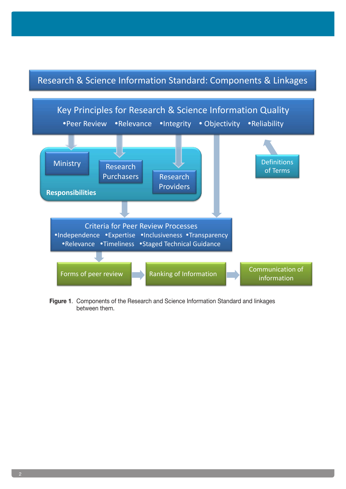## Research & Science Information Standard: Components & Linkages



**Figure 1**. Components of the Research and Science Information Standard and linkages between them.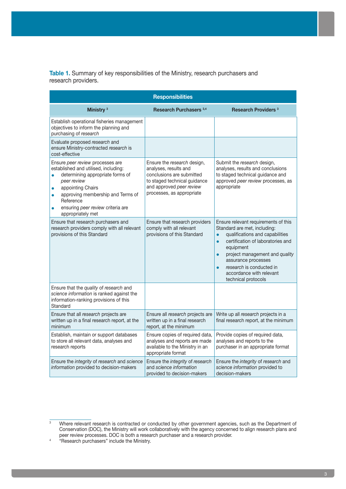**Table 1.** Summary of key responsibilities of the Ministry, research purchasers and research providers.

| <b>Responsibilities</b>                                                                                                                                                                                                                                                                                          |                                                                                                                                                                            |                                                                                                                                                                                                                                                                                                                                                       |  |  |  |
|------------------------------------------------------------------------------------------------------------------------------------------------------------------------------------------------------------------------------------------------------------------------------------------------------------------|----------------------------------------------------------------------------------------------------------------------------------------------------------------------------|-------------------------------------------------------------------------------------------------------------------------------------------------------------------------------------------------------------------------------------------------------------------------------------------------------------------------------------------------------|--|--|--|
| Ministry <sup>3</sup>                                                                                                                                                                                                                                                                                            | Research Purchasers <sup>3,4</sup>                                                                                                                                         | <b>Research Providers 3</b>                                                                                                                                                                                                                                                                                                                           |  |  |  |
| Establish operational fisheries management<br>objectives to inform the planning and<br>purchasing of research                                                                                                                                                                                                    |                                                                                                                                                                            |                                                                                                                                                                                                                                                                                                                                                       |  |  |  |
| Evaluate proposed research and<br>ensure Ministry-contracted research is<br>cost-effective                                                                                                                                                                                                                       |                                                                                                                                                                            |                                                                                                                                                                                                                                                                                                                                                       |  |  |  |
| Ensure peer review processes are<br>established and utilised, including:<br>determining appropriate forms of<br>$\bullet$<br>peer review<br>appointing Chairs<br>$\bullet$<br>approving membership and Terms of<br>$\bullet$<br>Reference<br>ensuring peer review criteria are<br>$\bullet$<br>appropriately met | Ensure the research design,<br>analyses, results and<br>conclusions are submitted<br>to staged technical guidance<br>and approved peer review<br>processes, as appropriate | Submit the research design,<br>analyses, results and conclusions<br>to staged technical guidance and<br>approved peer review processes, as<br>appropriate                                                                                                                                                                                             |  |  |  |
| Ensure that research purchasers and<br>research providers comply with all relevant<br>provisions of this Standard                                                                                                                                                                                                | Ensure that research providers<br>comply with all relevant<br>provisions of this Standard                                                                                  | Ensure relevant requirements of this<br>Standard are met, including:<br>qualifications and capabilities<br>$\bullet$<br>certification of laboratories and<br>$\bullet$<br>equipment<br>project management and quality<br>$\bullet$<br>assurance processes<br>research is conducted in<br>$\bullet$<br>accordance with relevant<br>technical protocols |  |  |  |
| Ensure that the quality of research and<br>science information is ranked against the<br>information-ranking provisions of this<br>Standard                                                                                                                                                                       |                                                                                                                                                                            |                                                                                                                                                                                                                                                                                                                                                       |  |  |  |
| Ensure that all research projects are<br>written up in a final research report, at the<br>minimum                                                                                                                                                                                                                | Ensure all research projects are<br>written up in a final research<br>report, at the minimum                                                                               | Write up all research projects in a<br>final research report, at the minimum                                                                                                                                                                                                                                                                          |  |  |  |
| Establish, maintain or support databases<br>to store all relevant data, analyses and<br>research reports                                                                                                                                                                                                         | Ensure copies of required data,<br>analyses and reports are made<br>available to the Ministry in an<br>appropriate format                                                  | Provide copies of required data,<br>analyses and reports to the<br>purchaser in an appropriate format                                                                                                                                                                                                                                                 |  |  |  |
| Ensure the integrity of research and science<br>information provided to decision-makers                                                                                                                                                                                                                          | Ensure the <i>integrity</i> of <i>research</i><br>and science information<br>provided to decision-makers                                                                   | Ensure the integrity of research and<br>science information provided to<br>decision-makers                                                                                                                                                                                                                                                            |  |  |  |

<sup>&</sup>lt;sup>3</sup> Where relevant research is contracted or conducted by other government agencies, such as the Department of Conservation (DOC), the Ministry will work collaboratively with the agency concerned to align research plans and peer review processes. DOC is both a research purchaser and a research provider.

<sup>4</sup> "Research purchasers" include the Ministry.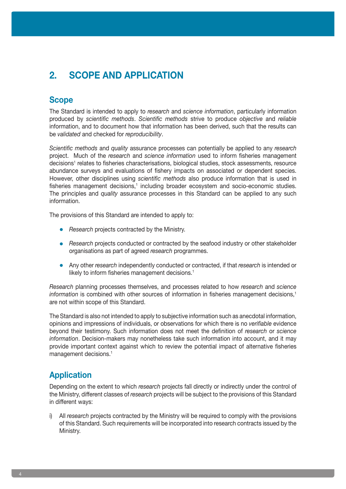# **2. SCOPE AND APPLICATION**

## **Scope**

The Standard is intended to apply to *research* and *science information*, particularly information produced by *scientific methods*. *Scientific methods* strive to produce *objective* and *reliable* information, and to document how that information has been derived, such that the results can be *validated* and checked for *reproducibility*.

*Scientific methods* and *quality* assurance processes can potentially be applied to any *research* project. Much of the *research* and *science information* used to inform fisheries management decisions<sup>1</sup> relates to fisheries characterisations, biological studies, stock assessments, resource abundance surveys and evaluations of fishery impacts on associated or dependent species. However, other disciplines using *scientific methods* also produce information that is used in fisheries management decisions,<sup>1</sup> including broader ecosystem and socio-economic studies. The principles and *quality* assurance processes in this Standard can be applied to any such information.

The provisions of this Standard are intended to apply to:

- **•** *Research* projects contracted by the Ministry.
- *Research* projects conducted or contracted by the seafood industry or other stakeholder organisations as part of agreed *research* programmes.
- **•**  Any other *research* independently conducted or contracted, if that *research* is intended or likely to inform fisheries management decisions.<sup>1</sup>

*Research* planning processes themselves, and processes related to how *research* and *science information* is combined with other sources of information in fisheries management decisions,<sup>1</sup> are not within scope of this Standard.

The Standard is also not intended to apply to subjective information such as anecdotal information, opinions and impressions of individuals, or observations for which there is no *verifiable* evidence beyond their testimony. Such information does not meet the definition of *research* or *science information*. Decision-makers may nonetheless take such information into account, and it may provide important context against which to review the potential impact of alternative fisheries management decisions.<sup>1</sup>

### **Application**

Depending on the extent to which *research* projects fall directly or indirectly under the control of the Ministry, different classes of *research* projects will be subject to the provisions of this Standard in different ways:

i) All *research* projects contracted by the Ministry will be required to comply with the provisions of this Standard. Such requirements will be incorporated into research contracts issued by the Ministry.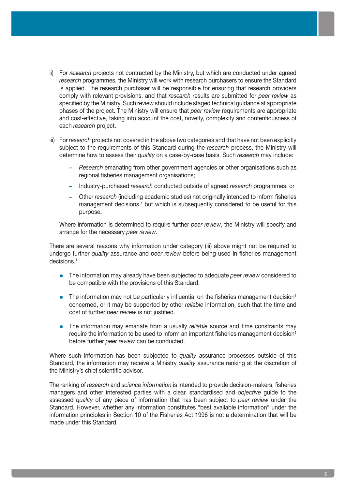- ii) For *research* projects not contracted by the Ministry, but which are conducted under agreed *research* programmes, the Ministry will work with research purchasers to ensure the Standard is applied. The research purchaser will be responsible for ensuring that research providers comply with relevant provisions, and that *research* results are submitted for *peer review* as specified by the Ministry. Such review should include staged technical guidance at appropriate phases of the project. The Ministry will ensure that *peer review* requirements are appropriate and cost-effective, taking into account the cost, novelty, complexity and contentiousness of each *research* project.
- iii) For *research* projects not covered in the above two categories and that have not been explicitly subject to the requirements of this Standard during the *research* process, the Ministry will determine how to assess their *quality* on a case-by-case basis. Such *research* may include:
	- **–** *Research* emanating from other government agencies or other organisations such as regional fisheries management organisations;
	- **–** Industry-purchased *research* conducted outside of agreed *research* programmes; or
	- **–** Other *research* (including academic studies) not originally intended to inform fisheries management decisions,<sup>1</sup> but which is subsequently considered to be useful for this purpose.

Where information is determined to require further *peer review*, the Ministry will specify and arrange for the necessary *peer review*.

There are several reasons why information under category (iii) above might not be required to undergo further *quality* assurance and *peer review* before being used in fisheries management decisions.1

- The information may already have been subjected to adequate *peer review* considered to be compatible with the provisions of this Standard.
- The information may not be particularly influential on the fisheries management decision<sup>1</sup> concerned, or it may be supported by other *reliable* information, such that the time and cost of further *peer review* is not justified.
- The information may emanate from a usually *reliable* source and time constraints may require the information to be used to inform an important fisheries management decision<sup>1</sup> before further *peer review* can be conducted.

Where such information has been subjected to *quality* assurance processes outside of this Standard, the information may receive a Ministry *quality* assurance ranking at the discretion of the Ministry's chief scientific advisor.

The ranking of *research* and *science information* is intended to provide decision-makers, fisheries managers and other interested parties with a clear, standardised and *objective* guide to the assessed *quality* of any piece of information that has been subject to *peer review* under the Standard. However, whether any information constitutes "best available information" under the information principles in Section 10 of the Fisheries Act 1996 is not a determination that will be made under this Standard.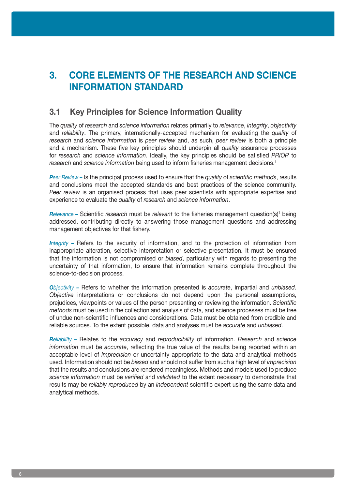# **3. CORE ELEMENTS OF THE RESEARCH AND SCIENCE INFORMATION STANDARD**

### **3.1 Key Principles for Science Information Quality**

The *quality* of *research* and *science information* relates primarily to *relevance*, *integrity*, *objectivity* and *reliability*. The primary, internationally-accepted mechanism for evaluating the *quality* of *research* and *science information* is *peer review* and, as such, *peer review* is both a principle and a mechanism. These five key principles should underpin all *quality* assurance processes for *research* and *science information*. Ideally, the key principles should be satisfied *PRIOR* to *research* and *science information* being used to inform fisheries management decisions.<sup>1</sup>

*Peer Review –* Is the principal process used to ensure that the *quality* of *scientific methods*, results and conclusions meet the accepted standards and best practices of the science community. *Peer review* is an organised process that uses peer scientists with appropriate expertise and experience to evaluate the *quality* of *research* and *science information*.

*Relevance* – Scientific *research* must be *relevant* to the fisheries management question(s)<sup>1</sup> being addressed, contributing directly to answering those management questions and addressing management objectives for that fishery.

*Integrity –* Refers to the security of information, and to the protection of information from inappropriate alteration, selective interpretation or selective presentation. It must be ensured that the information is not compromised or *biased*, particularly with regards to presenting the uncertainty of that information, to ensure that information remains complete throughout the science-to-decision process.

*Objectivity –* Refers to whether the information presented is *accurate*, impartial and *unbiased*. *Objective* interpretations or conclusions do not depend upon the personal assumptions, prejudices, viewpoints or values of the person presenting or reviewing the information. *Scientific methods* must be used in the collection and analysis of data, and science processes must be free of undue non-scientific influences and considerations. Data must be obtained from credible and reliable sources. To the extent possible, data and analyses must be *accurate* and *unbiased*.

*Reliability –* Relates to the *accuracy* and *reproducibility* of information. *Research* and *science information* must be *accurate*, reflecting the true value of the results being reported within an acceptable level of *imprecision* or uncertainty appropriate to the data and analytical methods used. Information should not be *biased* and should not suffer from such a high level of *imprecision* that the results and conclusions are rendered meaningless. Methods and models used to produce *science information* must be *verified* and *validated* to the extent necessary to demonstrate that results may be *reliably reproduced* by an *independent* scientific expert using the same data and analytical methods.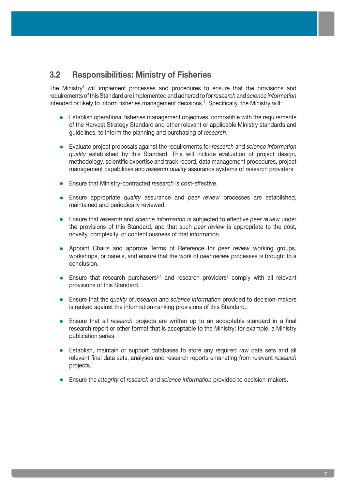### **3.2 Responsibilities: Ministry of Fisheries**

The Ministry<sup>3</sup> will implement processes and procedures to ensure that the provisions and requirements of this Standard are implemented and adhered to for *research* and *science information* intended or likely to inform fisheries management decisions.<sup>1</sup> Specifically, the Ministry will:

- **Establish operational fisheries management objectives, compatible with the requirements** of the Harvest Strategy Standard and other relevant or applicable Ministry standards and guidelines, to inform the planning and purchasing of *research*.
- **•**  Evaluate project proposals against the requirements for *research* and *science information quality* established by this Standard. This will include evaluation of project design, methodology, scientific expertise and track record, data management procedures, project management capabilities and *research quality* assurance systems of research providers.
- **•**  Ensure that Ministry-contracted *research* is cost-effective.
- **•**  Ensure appropriate *quality* assurance and *peer review* processes are established, maintained and periodically reviewed.
- **•**  Ensure that *research* and *science information* is subjected to effective *peer review* under the provisions of this Standard, and that such *peer review* is appropriate to the cost, novelty, complexity, or contentiousness of that information.
- **•**  Appoint Chairs and approve Terms of Reference for *peer review* working groups, workshops, or panels, and ensure that the work of *peer review* processes is brought to a conclusion.
- Ensure that research purchasers<sup>3,4</sup> and research providers<sup>3</sup> comply with all relevant provisions of this Standard.
- **•**  Ensure that the *quality* of *research* and *science information* provided to decision-makers is ranked against the information-ranking provisions of this Standard.
- **•**  Ensure that all *research* projects are written up to an acceptable standard in a final research report or other format that is acceptable to the Ministry; for example, a Ministry publication series.
- Establish, maintain or support databases to store any required raw data sets and all relevant final data sets, analyses and research reports emanating from relevant *research* projects.
- **•**  Ensure the *integrity* of *research* and *science information* provided to decision-makers.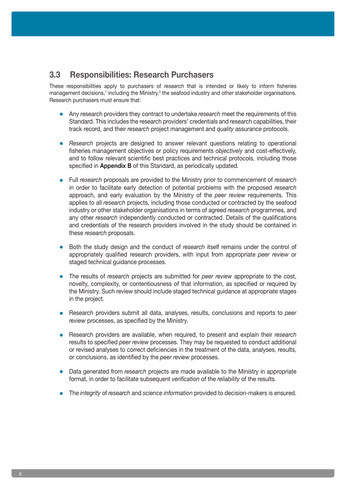### **3.3 Responsibilities: Research Purchasers**

These responsibilities apply to purchasers of *research* that is intended or likely to inform fisheries management decisions,<sup>1</sup> including the Ministry,<sup>3</sup> the seafood industry and other stakeholder organisations. Research purchasers must ensure that:

- Any research providers they contract to undertake *research* meet the requirements of this Standard. This includes the research providers' credentials and research capabilities, their track record, and their *research* project management and *quality* assurance protocols.
- *Research* projects are designed to answer relevant questions relating to operational fisheries management objectives or policy requirements *objectively* and cost-effectively, and to follow relevant scientific best practices and technical protocols, including those specified in **Appendix B** of this Standard, as periodically updated.
- **•**  Full *research* proposals are provided to the Ministry prior to commencement of *research* in order to facilitate early detection of potential problems with the proposed *research* approach, and early evaluation by the Ministry of the *peer review* requirements. This applies to all *research* projects, including those conducted or contracted by the seafood industry or other stakeholder organisations in terms of agreed *research* programmes, and any other *research* independently conducted or contracted. Details of the qualifications and credentials of the research providers involved in the study should be contained in these *research* proposals.
- Both the study design and the conduct of *research* itself remains under the control of appropriately qualified research providers, with input from appropriate *peer review* or staged technical guidance processes.
- **•**  The results of *research* projects are submitted for *peer review* appropriate to the cost, novelty, complexity, or contentiousness of that information, as specified or required by the Ministry. Such review should include staged technical guidance at appropriate stages in the project.
- **•**  Research providers submit all data, analyses, results, conclusions and reports to *peer review* processes, as specified by the Ministry.
- **•**  Research providers are available, when required, to present and explain their *research* results to specified *peer review* processes. They may be requested to conduct additional or revised analyses to correct deficiencies in the treatment of the data, analyses, results, or conclusions, as identified by the *peer review* processes.
- Data generated from *research* projects are made available to the Ministry in appropriate format, in order to facilitate subsequent *verification* of the *reliability* of the results.
- **•**  The *integrity* of *research* and *science information* provided to decision-makers is ensured.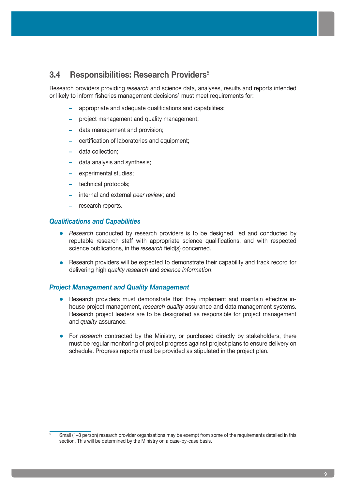### **3.4 Responsibilities: Research Providers**<sup>5</sup>

Research providers providing *research* and science data, analyses, results and reports intended or likely to inform fisheries management decisions<sup>1</sup> must meet requirements for:

- **–** appropriate and adequate qualifications and capabilities;
- **–** project management and quality management;
- **–** data management and provision;
- **–** certification of laboratories and equipment;
- **–** data collection;
- **–** data analysis and synthesis;
- **–** experimental studies;
- **–** technical protocols;
- **–** internal and external *peer review*; and
- **–** research reports.

#### *Qualifications and Capabilities*

- *Research* conducted by research providers is to be designed, led and conducted by reputable research staff with appropriate science qualifications, and with respected science publications, in the *research* field(s) concerned.
- Research providers will be expected to demonstrate their capability and track record for delivering high *quality research* and *science information*.

#### *Project Management and Quality Management*

- Research providers must demonstrate that they implement and maintain effective inhouse project management, *research quality* assurance and data management systems. Research project leaders are to be designated as responsible for project management and *quality* assurance.
- For *research* contracted by the Ministry, or purchased directly by stakeholders, there must be regular monitoring of project progress against project plans to ensure delivery on schedule. Progress reports must be provided as stipulated in the project plan.

<sup>5</sup> Small (1–3 person) research provider organisations may be exempt from some of the requirements detailed in this section. This will be determined by the Ministry on a case-by-case basis.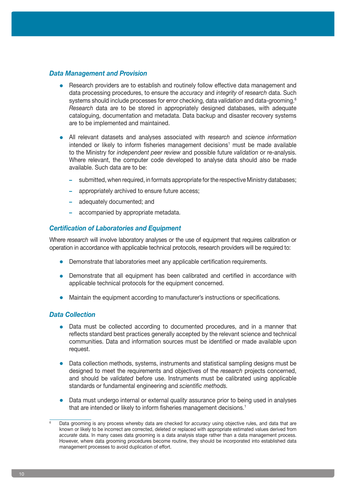#### *Data Management and Provision*

- Research providers are to establish and routinely follow effective data management and data processing procedures, to ensure the *accuracy* and *integrity* of *research* data. Such systems should include processes for error checking, data *validation* and data-grooming.6 *Research* data are to be stored in appropriately designed databases, with adequate cataloguing, documentation and metadata. Data backup and disaster recovery systems are to be implemented and maintained.
- **•**  All relevant datasets and analyses associated with *research* and *science information* intended or likely to inform fisheries management decisions<sup>1</sup> must be made available to the Ministry for *independent peer review* and possible future *validation* or re-analysis. Where relevant, the computer code developed to analyse data should also be made available. Such data are to be:
	- **–** submitted, when required, in formats appropriate for the respective Ministry databases;
	- **–** appropriately archived to ensure future access;
	- **–** adequately documented; and
	- **–** accompanied by appropriate metadata.

#### *Certification of Laboratories and Equipment*

Where *research* will involve laboratory analyses or the use of equipment that requires calibration or operation in accordance with applicable technical protocols, research providers will be required to:

- Demonstrate that laboratories meet any applicable certification requirements.
- Demonstrate that all equipment has been calibrated and certified in accordance with applicable technical protocols for the equipment concerned.
- Maintain the equipment according to manufacturer's instructions or specifications.

#### *Data Collection*

- Data must be collected according to documented procedures, and in a manner that reflects standard best practices generally accepted by the relevant science and technical communities. Data and information sources must be identified or made available upon request.
- Data collection methods, systems, instruments and statistical sampling designs must be designed to meet the requirements and objectives of the *research* projects concerned, and should be *validated* before use. Instruments must be calibrated using applicable standards or fundamental engineering and *scientific methods.*
- Data must undergo internal or external *quality* assurance prior to being used in analyses that are intended or likely to inform fisheries management decisions.<sup>1</sup>

<sup>6</sup> Data grooming is any process whereby data are checked for *accuracy* using objective rules, and data that are known or likely to be incorrect are corrected, deleted or replaced with appropriate estimated values derived from *accurate* data. In many cases data grooming is a data analysis stage rather than a data management process. However, where data grooming procedures become routine, they should be incorporated into established data management processes to avoid duplication of effort.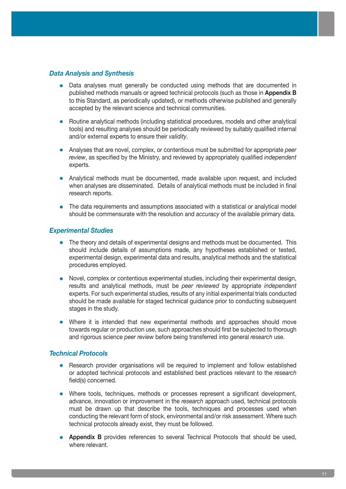#### *Data Analysis and Synthesis*

- Data analyses must generally be conducted using methods that are documented in published methods manuals or agreed technical protocols (such as those in **Appendix B** to this Standard, as periodically updated), or methods otherwise published and generally accepted by the relevant science and technical communities.
- **•**  Routine analytical methods (including statistical procedures, models and other analytical tools) and resulting analyses should be periodically reviewed by suitably qualified internal and/or external experts to ensure their *validity*.
- **•**  Analyses that are novel, complex, or contentious must be submitted for appropriate *peer review*, as specified by the Ministry, and reviewed by appropriately qualified *independent* experts.
- Analytical methods must be documented, made available upon request, and included when analyses are disseminated. Details of analytical methods must be included in final research reports.
- The data requirements and assumptions associated with a statistical or analytical model should be commensurate with the resolution and *accuracy* of the available primary data.

#### *Experimental Studies*

- The theory and details of experimental designs and methods must be documented. This should include details of assumptions made, any hypotheses established or tested, experimental design, experimental data and results, analytical methods and the statistical procedures employed.
- Novel, complex or contentious experimental studies, including their experimental design, results and analytical methods, must be *peer reviewed* by appropriate *independent* experts. For such experimental studies, results of any initial experimental trials conducted should be made available for staged technical guidance prior to conducting subsequent stages in the study.
- Where it is intended that new experimental methods and approaches should move towards regular or production use, such approaches should first be subjected to thorough and rigorous science *peer review* before being transferred into general *research* use.

#### *Technical Protocols*

- Research provider organisations will be required to implement and follow established or adopted technical protocols and established best practices relevant to the *research* field(s) concerned.
- Where tools, techniques, methods or processes represent a significant development, advance, innovation or improvement in the *research* approach used, technical protocols must be drawn up that describe the tools, techniques and processes used when conducting the relevant form of stock, environmental and/or risk assessment. Where such technical protocols already exist, they must be followed.
- **Appendix B** provides references to several Technical Protocols that should be used, where relevant.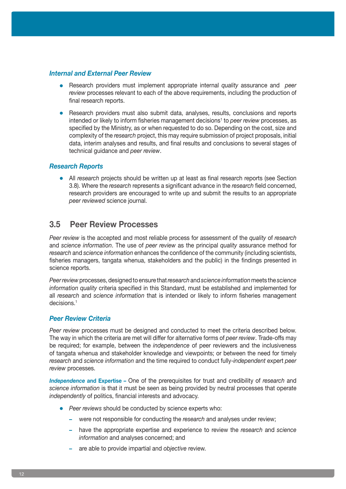#### *Internal and External Peer Review*

- **•**  Research providers must implement appropriate internal *quality* assurance and *peer review* processes relevant to each of the above requirements, including the production of final research reports.
- **•** Research providers must also submit data, analyses, results, conclusions and reports intended or likely to inform fisheries management decisions<sup>1</sup> to *peer review* processes, as specified by the Ministry, as or when requested to do so. Depending on the cost, size and complexity of the *research* project, this may require submission of project proposals, initial data, interim analyses and results, and final results and conclusions to several stages of technical guidance and *peer review*.

#### *Research Reports*

• All *research* projects should be written up at least as final research reports (see Section 3.8). Where the *research* represents a significant advance in the *research* field concerned, research providers are encouraged to write up and submit the results to an appropriate *peer reviewed* science journal.

### **3.5 Peer Review Processes**

*Peer review* is the accepted and most reliable process for assessment of the *quality* of *research* and *science information*. The use of *peer review* as the principal *quality* assurance method for *research* and *science information* enhances the confidence of the community (including scientists, fisheries managers, tangata whenua, stakeholders and the public) in the findings presented in science reports.

*Peer review* processes, designed to ensure that *research* and *science information* meets the *science information quality* criteria specified in this Standard, must be established and implemented for all *research* and *science information* that is intended or likely to inform fisheries management decisions.1

#### *Peer Review Criteria*

*Peer review* processes must be designed and conducted to meet the criteria described below. The way in which the criteria are met will differ for alternative forms of *peer review*. Trade-offs may be required; for example, between the *independence* of peer reviewers and the inclusiveness of tangata whenua and stakeholder knowledge and viewpoints; or between the need for timely *research* and *science information* and the time required to conduct fully-*independent* expert *peer review* processes.

*Independence* **and Expertise** *–* One of the prerequisites for trust and credibility of *research* and *science information* is that it must be seen as being provided by neutral processes that operate *independently* of politics, financial interests and advocacy.

- **•** Peer reviews should be conducted by science experts who:
	- **–** were not responsible for conducting the *research* and analyses under review;
	- **–** have the appropriate expertise and experience to review the *research* and *science information* and analyses concerned; and
	- **–** are able to provide impartial and *objective* review.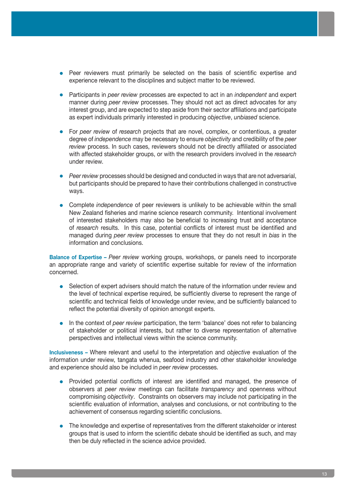- **•** Peer reviewers must primarily be selected on the basis of scientific expertise and experience relevant to the disciplines and subject matter to be reviewed.
- **•**  Participants in *peer review* processes are expected to act in an *independent* and expert manner during *peer review* processes. They should not act as direct advocates for any interest group, and are expected to step aside from their sector affiliations and participate as expert individuals primarily interested in producing *objective*, *unbiased* science.
- **•**  For *peer review* of *research* projects that are novel, complex, or contentious, a greater degree of *independence* may be necessary to ensure *objectivity* and credibility of the *peer review* process. In such cases, reviewers should not be directly affiliated or associated with affected stakeholder groups, or with the research providers involved in the *research* under review.
- Peer review processes should be designed and conducted in ways that are not adversarial. but participants should be prepared to have their contributions challenged in constructive ways.
- **•**  Complete *independence* of peer reviewers is unlikely to be achievable within the small New Zealand fisheries and marine science research community. Intentional involvement of interested stakeholders may also be beneficial to increasing trust and acceptance of *research* results. In this case, potential conflicts of interest must be identified and managed during *peer review* processes to ensure that they do not result in *bias* in the information and conclusions.

**Balance of Expertise** *– Peer review* working groups, workshops, or panels need to incorporate an appropriate range and variety of scientific expertise suitable for review of the information concerned.

- Selection of expert advisers should match the nature of the information under review and the level of technical expertise required, be sufficiently diverse to represent the range of scientific and technical fields of knowledge under review, and be sufficiently balanced to reflect the potential diversity of opinion amongst experts.
- In the context of *peer review* participation, the term 'balance' does not refer to balancing of stakeholder or political interests, but rather to diverse representation of alternative perspectives and intellectual views within the science community.

**Inclusiveness** *–* Where relevant and useful to the interpretation and *objective* evaluation of the information under review, tangata whenua, seafood industry and other stakeholder knowledge and experience should also be included in *peer review* processes.

- Provided potential conflicts of interest are identified and managed, the presence of observers at *peer review* meetings can facilitate *transparency* and openness without compromising *objectivity*. Constraints on observers may include not participating in the scientific evaluation of information, analyses and conclusions, or not contributing to the achievement of consensus regarding scientific conclusions.
- The knowledge and expertise of representatives from the different stakeholder or interest groups that is used to inform the scientific debate should be identified as such, and may then be duly reflected in the science advice provided.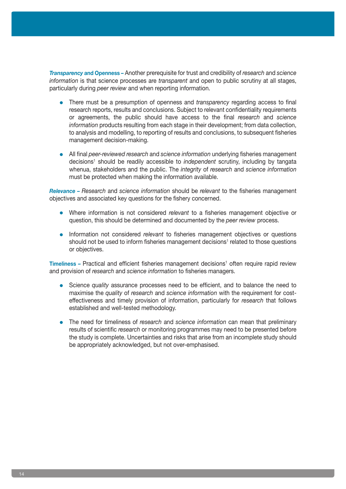*Transparency* **and Openness** *–* Another prerequisite for trust and credibility of *research* and *science information* is that science processes are *transparent* and open to public scrutiny at all stages, particularly during *peer review* and when reporting information.

- There must be a presumption of openness and *transparency* regarding access to final research reports, results and conclusions. Subject to relevant confidentiality requirements or agreements, the public should have access to the final *research* and *science information* products resulting from each stage in their development; from data collection, to analysis and modelling, to reporting of results and conclusions, to subsequent fisheries management decision-making.
- **•**  All final *peer-reviewed research* and *science information* underlying fisheries management decisions<sup>1</sup> should be readily accessible to *independent* scrutiny, including by tangata whenua, stakeholders and the public. The *integrity* of *research* and *science information* must be protected when making the information available.

*Relevance – Research* and *science information* should be *relevant* to the fisheries management objectives and associated key questions for the fishery concerned.

- **•**  Where information is not considered *relevant* to a fisheries management objective or question, this should be determined and documented by the *peer review* process.
- Information not considered *relevant* to fisheries management objectives or questions should not be used to inform fisheries management decisions<sup>1</sup> related to those questions or objectives.

**Timeliness** – Practical and efficient fisheries management decisions<sup>1</sup> often require rapid review and provision of *research* and *science information* to fisheries managers.

- Science *quality* assurance processes need to be efficient, and to balance the need to maximise the *quality* of *research* and *science information* with the requirement for costeffectiveness and timely provision of information, particularly for *research* that follows established and well-tested methodology.
- **•**  The need for timeliness of *research* and *science information* can mean that preliminary results of scientific *research* or monitoring programmes may need to be presented before the study is complete. Uncertainties and risks that arise from an incomplete study should be appropriately acknowledged, but not over-emphasised.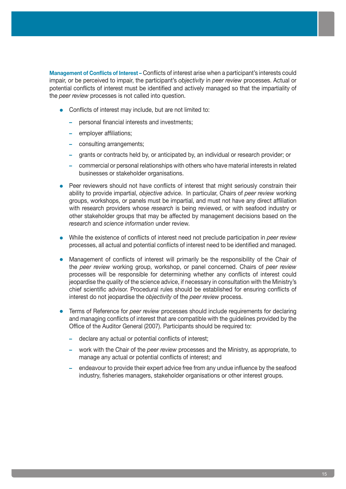**Management of Conflicts of Interest** *–* Conflicts of interest arise when a participant's interests could impair, or be perceived to impair, the participant's *objectivity* in *peer review* processes. Actual or potential conflicts of interest must be identified and actively managed so that the impartiality of the *peer review* processes is not called into question.

- **•** Conflicts of interest may include, but are not limited to:
	- **–** personal financial interests and investments;
	- **–** employer affiliations;
	- **–** consulting arrangements;
	- **–** grants or contracts held by, or anticipated by, an individual or research provider; or
	- **–** commercial or personal relationships with others who have material interests in related businesses or stakeholder organisations.
- Peer reviewers should not have conflicts of interest that might seriously constrain their ability to provide impartial, *objective* advice. In particular, Chairs of *peer review* working groups, workshops, or panels must be impartial, and must not have any direct affiliation with research providers whose *research* is being reviewed, or with seafood industry or other stakeholder groups that may be affected by management decisions based on the *research* and *science information* under review.
- While the existence of conflicts of interest need not preclude participation in *peer review* processes, all actual and potential conflicts of interest need to be identified and managed.
- Management of conflicts of interest will primarily be the responsibility of the Chair of the *peer review* working group, workshop, or panel concerned. Chairs of *peer review* processes will be responsible for determining whether any conflicts of interest could jeopardise the *quality* of the science advice, if necessary in consultation with the Ministry's chief scientific advisor. Procedural rules should be established for ensuring conflicts of interest do not jeopardise the *objectivity* of the *peer review* process.
- Terms of Reference for *peer review* processes should include requirements for declaring and managing conflicts of interest that are compatible with the guidelines provided by the Office of the Auditor General (2007). Participants should be required to:
	- **–** declare any actual or potential conflicts of interest;
	- **–** work with the Chair of the *peer review* processes and the Ministry, as appropriate, to manage any actual or potential conflicts of interest; and
	- **–** endeavour to provide their expert advice free from any undue influence by the seafood industry, fisheries managers, stakeholder organisations or other interest groups.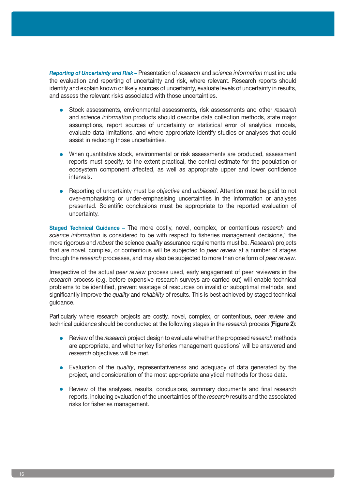*Reporting of Uncertainty and Risk –* Presentation of *research* and *science information* must include the evaluation and reporting of uncertainty and risk, where relevant. Research reports should identify and explain known or likely sources of uncertainty, evaluate levels of uncertainty in results, and assess the relevant risks associated with those uncertainties.

- Stock assessments, environmental assessments, risk assessments and other *research* and *science information* products should describe data collection methods, state major assumptions, report sources of uncertainty or statistical error of analytical models, evaluate data limitations, and where appropriate identify studies or analyses that could assist in reducing those uncertainties.
- When quantitative stock, environmental or risk assessments are produced, assessment reports must specify, to the extent practical, the central estimate for the population or ecosystem component affected, as well as appropriate upper and lower confidence intervals.
- **•**  Reporting of uncertainty must be *objective* and *unbiased*. Attention must be paid to not over-emphasising or under-emphasising uncertainties in the information or analyses presented. Scientific conclusions must be appropriate to the reported evaluation of uncertainty.

**Staged Technical Guidance** *–* The more costly, novel, complex, or contentious *research* and science information is considered to be with respect to fisheries management decisions,<sup>1</sup> the more rigorous and *robust* the science *quality* assurance requirements must be. *Research* projects that are novel, complex, or contentious will be subjected to *peer review* at a number of stages through the *research* processes, and may also be subjected to more than one form of *peer review*.

Irrespective of the actual *peer review* process used, early engagement of peer reviewers in the *research* process (e.g. before expensive research surveys are carried out) will enable technical problems to be identified, prevent wastage of resources on invalid or suboptimal methods, and significantly improve the *quality* and *reliability* of results. This is best achieved by staged technical guidance.

Particularly where *research* projects are costly, novel, complex, or contentious, *peer review* and technical guidance should be conducted at the following stages in the *research* process (**Figure 2**):

- **•**  Review of the *research* project design to evaluate whether the proposed *research* methods are appropriate, and whether key fisheries management questions<sup>1</sup> will be answered and *research* objectives will be met.
- Evaluation of the *quality*, representativeness and adequacy of data generated by the project, and consideration of the most appropriate analytical methods for those data.
- Review of the analyses, results, conclusions, summary documents and final research reports, including evaluation of the uncertainties of the *research* results and the associated risks for fisheries management.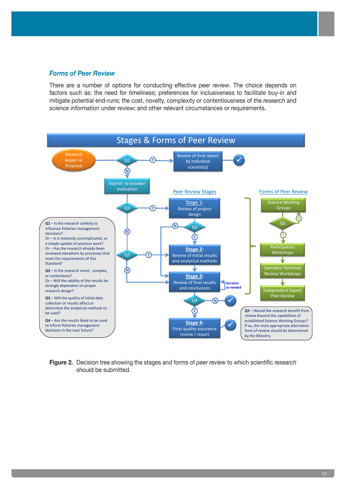#### *Forms of Peer Review*

There are a number of options for conducting effective *peer review*. The choice depends on factors such as: the need for timeliness; preferences for inclusiveness to facilitate buy-in and mitigate potential end-runs; the cost, novelty, complexity or contentiousness of the *research* and *science information* under review; and other relevant circumstances or requirements.



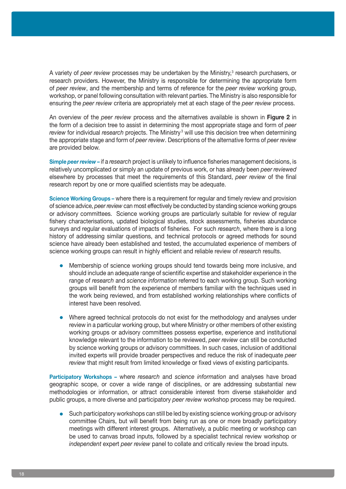A variety of *peer review* processes may be undertaken by the Ministry,<sup>3</sup> research purchasers, or research providers. However, the Ministry is responsible for determining the appropriate form of *peer review*, and the membership and terms of reference for the *peer review* working group, workshop, or panel following consultation with relevant parties. The Ministry is also responsible for ensuring the *peer review* criteria are appropriately met at each stage of the *peer review* process.

An overview of the *peer review* process and the alternatives available is shown in **Figure 2** in the form of a decision tree to assist in determining the most appropriate stage and form of *peer*  review for individual research projects. The Ministry<sup>3</sup> will use this decision tree when determining the appropriate stage and form of *peer review*. Descriptions of the alternative forms of *peer review* are provided below.

**Simple** *peer review –* if a *research* project is unlikely to influence fisheries management decisions, is relatively uncomplicated or simply an update of previous work, or has already been *peer reviewed* elsewhere by processes that meet the requirements of this Standard, *peer review* of the final research report by one or more qualified scientists may be adequate.

**Science Working Groups** *–* where there is a requirement for regular and timely review and provision of science advice, *peer review* can most effectively be conducted by standing science working groups or advisory committees. Science working groups are particularly suitable for review of regular fishery characterisations, updated biological studies, stock assessments, fisheries abundance surveys and regular evaluations of impacts of fisheries. For such *research*, where there is a long history of addressing similar questions, and technical protocols or agreed methods for sound science have already been established and tested, the accumulated experience of members of science working groups can result in highly efficient and reliable review of *research* results.

- Membership of science working groups should tend towards being more inclusive, and should include an adequate range of scientific expertise and stakeholder experience in the range of *research* and *science information* referred to each working group. Such working groups will benefit from the experience of members familiar with the techniques used in the work being reviewed, and from established working relationships where conflicts of interest have been resolved.
- Where agreed technical protocols do not exist for the methodology and analyses under review in a particular working group, but where Ministry or other members of other existing working groups or advisory committees possess expertise, experience and institutional knowledge relevant to the information to be reviewed, *peer review* can still be conducted by science working groups or advisory committees. In such cases, inclusion of additional invited experts will provide broader perspectives and reduce the risk of inadequate *peer review* that might result from limited knowledge or fixed views of existing participants.

**Participatory Workshops** *–* where *research* and *science information* and analyses have broad geographic scope, or cover a wide range of disciplines, or are addressing substantial new methodologies or information, or attract considerable interest from diverse stakeholder and public groups, a more diverse and participatory *peer review* workshop process may be required.

• Such participatory workshops can still be led by existing science working group or advisory committee Chairs, but will benefit from being run as one or more broadly participatory meetings with different interest groups. Alternatively, a public meeting or workshop can be used to canvas broad inputs, followed by a specialist technical review workshop or *independent* expert *peer review* panel to collate and critically review the broad inputs.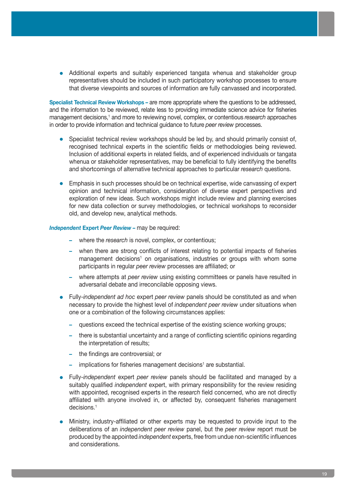• Additional experts and suitably experienced tangata whenua and stakeholder group representatives should be included in such participatory workshop processes to ensure that diverse viewpoints and sources of information are fully canvassed and incorporated.

**Specialist Technical Review Workshops** *–* are more appropriate where the questions to be addressed, and the information to be reviewed, relate less to providing immediate science advice for fisheries management decisions,<sup>1</sup> and more to reviewing novel, complex, or contentious *research* approaches in order to provide information and technical guidance to future *peer review* processes.

- Specialist technical review workshops should be led by, and should primarily consist of, recognised technical experts in the scientific fields or methodologies being reviewed. Inclusion of additional experts in related fields, and of experienced individuals or tangata whenua or stakeholder representatives, may be beneficial to fully identifying the benefits and shortcomings of alternative technical approaches to particular *research* questions.
- Emphasis in such processes should be on technical expertise, wide canvassing of expert opinion and technical information, consideration of diverse expert perspectives and exploration of new ideas. Such workshops might include review and planning exercises for new data collection or survey methodologies, or technical workshops to reconsider old, and develop new, analytical methods.

*Independent* **Expert** *Peer Review –* may be required:

- **–** where the *research* is novel, complex, or contentious;
- **–** when there are strong conflicts of interest relating to potential impacts of fisheries management decisions<sup>1</sup> on organisations, industries or groups with whom some participants in regular *peer review* processes are affiliated; or
- **–** where attempts at *peer review* using existing committees or panels have resulted in adversarial debate and irreconcilable opposing views.
- **•**  Fully-*independent ad hoc* expert *peer review* panels should be constituted as and when necessary to provide the highest level of *independent peer review* under situations when one or a combination of the following circumstances applies:
	- **–** questions exceed the technical expertise of the existing science working groups;
	- **–** there is substantial uncertainty and a range of conflicting scientific opinions regarding the interpretation of results;
	- **–** the findings are controversial; or
	- **-** implications for fisheries management decisions<sup>1</sup> are substantial.
- **•**  Fully-*independent* expert *peer review* panels should be facilitated and managed by a suitably qualified *independent* expert, with primary responsibility for the review residing with appointed, recognised experts in the *research* field concerned, who are not directly affiliated with anyone involved in, or affected by, consequent fisheries management decisions.1
- **•**  Ministry, industry-affiliated or other experts may be requested to provide input to the deliberations of an *independent peer review* panel, but the *peer review* report must be produced by the appointed *independent* experts, free from undue non-scientific influences and considerations.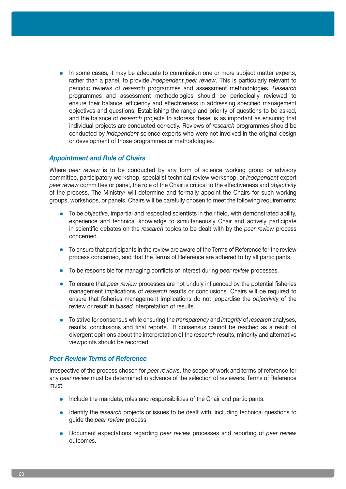• In some cases, it may be adequate to commission one or more subject matter experts, rather than a panel, to provide *independent peer review*. This is particularly relevant to periodic reviews of *research* programmes and assessment methodologies. *Research* programmes and assessment methodologies should be periodically reviewed to ensure their balance, efficiency and effectiveness in addressing specified management objectives and questions. Establishing the range and priority of questions to be asked, and the balance of *research* projects to address these, is as important as ensuring that individual projects are conducted correctly. Reviews of *research* programmes should be conducted by *independent* science experts who were not involved in the original design or development of those programmes or methodologies.

#### *Appointment and Role of Chairs*

Where *peer review* is to be conducted by any form of science working group or advisory committee, participatory workshop, specialist technical review workshop, or *independent* expert *peer review* committee or panel, the role of the Chair is critical to the effectiveness and *objectivity* of the process. The Ministry<sup>3</sup> will determine and formally appoint the Chairs for such working groups, workshops, or panels. Chairs will be carefully chosen to meet the following requirements:

- To be *objective*, impartial and respected scientists in their field, with demonstrated ability, experience and technical knowledge to simultaneously Chair and actively participate in scientific debates on the *research* topics to be dealt with by the *peer review* process concerned.
- **•** To ensure that participants in the review are aware of the Terms of Reference for the review process concerned, and that the Terms of Reference are adhered to by all participants.
- **•**  To be responsible for managing conflicts of interest during *peer review* processes.
- **•**  To ensure that *peer review* processes are not unduly influenced by the potential fisheries management implications of *research* results or conclusions. Chairs will be required to ensure that fisheries management implications do not jeopardise the *objectivity* of the review or result in *biased* interpretation of results.
- **•**  To strive for consensus while ensuring the *transparency* and *integrity* of *research* analyses, results, conclusions and final reports. If consensus cannot be reached as a result of divergent opinions about the interpretation of the *research* results, minority and alternative viewpoints should be recorded.

#### *Peer Review Terms of Reference*

Irrespective of the process chosen for *peer reviews*, the scope of work and terms of reference for any *peer review* must be determined in advance of the selection of reviewers. Terms of Reference must:

- Include the mandate, roles and responsibilities of the Chair and participants.
- Identify the *research* projects or issues to be dealt with, including technical questions to guide the *peer review* process.
- **•**  Document expectations regarding *peer review* processes and reporting of *peer review* outcomes.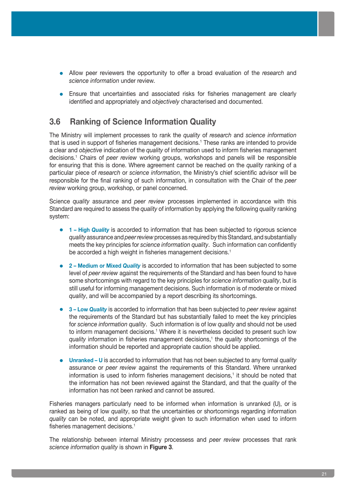- **•**  Allow peer reviewers the opportunity to offer a broad evaluation of the *research* and *science information* under review.
- Ensure that uncertainties and associated risks for fisheries management are clearly identified and appropriately and *objectively* characterised and documented.

### **3.6 Ranking of Science Information Quality**

The Ministry will implement processes to rank the *quality* of *research* and *science information* that is used in support of fisheries management decisions.<sup>1</sup> These ranks are intended to provide a clear and *objective* indication of the *quality* of information used to inform fisheries management decisions.1 Chairs of *peer review* working groups, workshops and panels will be responsible for ensuring that this is done. Where agreement cannot be reached on the *quality* ranking of a particular piece of *research* or *science information*, the Ministry's chief scientific advisor will be responsible for the final ranking of such information, in consultation with the Chair of the *peer review* working group, workshop, or panel concerned.

Science *quality* assurance and *peer review* processes implemented in accordance with this Standard are required to assess the *quality* of information by applying the following *quality* ranking system:

- **• 1 High** *Quality* is accorded to information that has been subjected to rigorous science *quality* assurance and *peer review* processes as required by this Standard, and substantially meets the key principles for *science information quality*. Such information can confidently be accorded a high weight in fisheries management decisions.<sup>1</sup>
- **• 2 Medium or Mixed** *Quality* is accorded to information that has been subjected to some level of *peer review* against the requirements of the Standard and has been found to have some shortcomings with regard to the key principles for *science information quality*, but is still useful for informing management decisions. Such information is of moderate or mixed *quality*, and will be accompanied by a report describing its shortcomings.
- **• 3 Low** *Quality* is accorded to information that has been subjected to *peer review* against the requirements of the Standard but has substantially failed to meet the key principles for *science information quality*. Such information is of low *quality* and should not be used to inform management decisions.<sup>1</sup> Where it is nevertheless decided to present such low quality information in fisheries management decisions,<sup>1</sup> the *quality* shortcomings of the information should be reported and appropriate caution should be applied.
- **• Unranked U** is accorded to information that has not been subjected to any formal *quality* assurance or *peer review* against the requirements of this Standard. Where unranked information is used to inform fisheries management decisions,<sup>1</sup> it should be noted that the information has not been reviewed against the Standard, and that the *quality* of the information has not been ranked and cannot be assured.

Fisheries managers particularly need to be informed when information is unranked (U), or is ranked as being of low *quality*, so that the uncertainties or shortcomings regarding information *quality* can be noted, and appropriate weight given to such information when used to inform fisheries management decisions.<sup>1</sup>

The relationship between internal Ministry processess and *peer review* processes that rank *science information quality* is shown in **Figure 3**.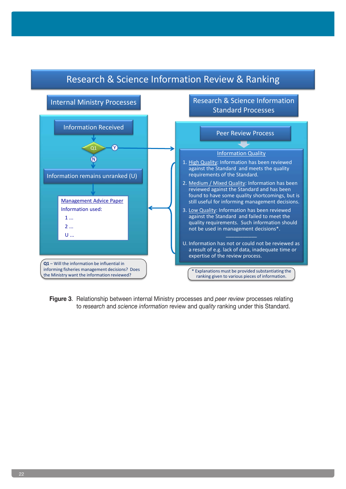

# Research & Science Information Review & Ranking

**Figure 3**. Relationship between internal Ministry processes and *peer review* processes relating to *research* and *science information* review and *quality* ranking under this Standard.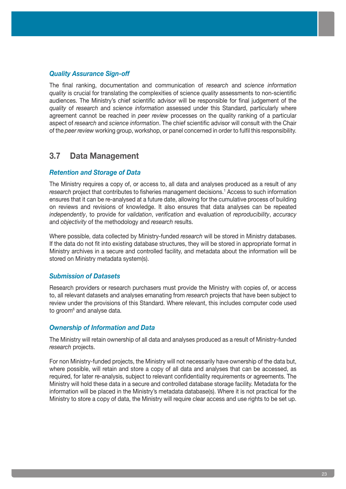#### *Quality Assurance Sign-off*

The final ranking, documentation and communication of *research* and *science information quality* is crucial for translating the complexities of science *quality* assessments to non-scientific audiences. The Ministry's chief scientific advisor will be responsible for final judgement of the *quality* of *research* and *science information* assessed under this Standard, particularly where agreement cannot be reached in *peer review* processes on the quality ranking of a particular aspect of *research* and *science information*. The chief scientific advisor will consult with the Chair of the *peer review* working group, workshop, or panel concerned in order to fulfil this responsibility.

### **3.7 Data Management**

#### *Retention and Storage of Data*

The Ministry requires a copy of, or access to, all data and analyses produced as a result of any *research* project that contributes to fisheries management decisions.<sup>1</sup> Access to such information ensures that it can be re-analysed at a future date, allowing for the cumulative process of building on reviews and revisions of knowledge. It also ensures that data analyses can be repeated *independently*, to provide for *validation*, *verification* and evaluation of *reproducibility*, *accuracy* and *objectivity* of the methodology and *research* results.

Where possible, data collected by Ministry-funded *research* will be stored in Ministry databases. If the data do not fit into existing database structures, they will be stored in appropriate format in Ministry archives in a secure and controlled facility, and metadata about the information will be stored on Ministry metadata system(s).

#### *Submission of Datasets*

Research providers or research purchasers must provide the Ministry with copies of, or access to, all relevant datasets and analyses emanating from *research* projects that have been subject to review under the provisions of this Standard. Where relevant, this includes computer code used to groom<sup>6</sup> and analyse data.

#### *Ownership of Information and Data*

The Ministry will retain ownership of all data and analyses produced as a result of Ministry-funded *research* projects.

For non Ministry-funded projects, the Ministry will not necessarily have ownership of the data but, where possible, will retain and store a copy of all data and analyses that can be accessed, as required, for later re-analysis, subject to relevant confidentiality requirements or agreements. The Ministry will hold these data in a secure and controlled database storage facility. Metadata for the information will be placed in the Ministry's metadata database(s). Where it is not practical for the Ministry to store a copy of data, the Ministry will require clear access and use rights to be set up.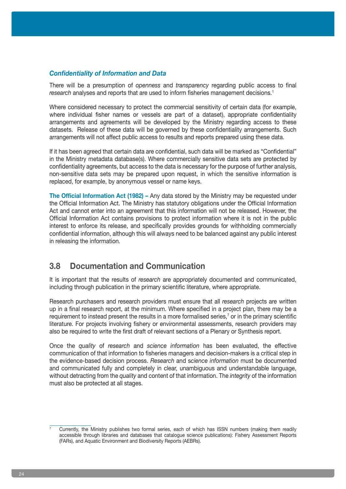#### *Confidentiality of Information and Data*

There will be a presumption of *openness* and *transparency* regarding public access to final *research* analyses and reports that are used to inform fisheries management decisions.<sup>1</sup>

Where considered necessary to protect the commercial sensitivity of certain data (for example, where individual fisher names or vessels are part of a dataset), appropriate confidentiality arrangements and agreements will be developed by the Ministry regarding access to these datasets. Release of these data will be governed by these confidentiality arrangements. Such arrangements will not affect public access to results and reports prepared using these data.

If it has been agreed that certain data are confidential, such data will be marked as "Confidential" in the Ministry metadata database(s). Where commercially sensitive data sets are protected by confidentiality agreements, but access to the data is necessary for the purpose of further analysis, non-sensitive data sets may be prepared upon request, in which the sensitive information is replaced, for example, by anonymous vessel or name keys.

**The Official Information Act (1982) –** Any data stored by the Ministry may be requested under the Official Information Act. The Ministry has statutory obligations under the Official Information Act and cannot enter into an agreement that this information will not be released. However, the Official Information Act contains provisions to protect information where it is not in the public interest to enforce its release, and specifically provides grounds for withholding commercially confidential information, although this will always need to be balanced against any public interest in releasing the information.

### **3.8 Documentation and Communication**

It is important that the results of *research* are appropriately documented and communicated, including through publication in the primary scientific literature, where appropriate.

Research purchasers and research providers must ensure that all *research* projects are written up in a final research report, at the minimum. Where specified in a project plan, there may be a requirement to instead present the results in a more formalised series,<sup>7</sup> or in the primary scientific literature. For projects involving fishery or environmental assessments, research providers may also be required to write the first draft of relevant sections of a Plenary or Synthesis report.

Once the *quality* of *research* and *science information* has been evaluated, the effective communication of that information to fisheries managers and decision-makers is a critical step in the evidence-based decision process. *Research* and s*cience information* must be documented and communicated fully and completely in clear, unambiguous and understandable language, without detracting from the *quality* and content of that information. The *integrity* of the information must also be protected at all stages.

<sup>7</sup> Currently, the Ministry publishes two formal series, each of which has ISSN numbers (making them readily accessible through libraries and databases that catalogue science publications): Fishery Assessment Reports (FARs), and Aquatic Environment and Biodiversity Reports (AEBRs).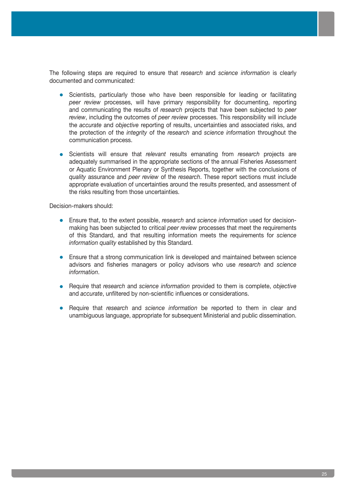The following steps are required to ensure that *research* and *science information* is clearly documented and communicated:

- Scientists, particularly those who have been responsible for leading or facilitating *peer review* processes, will have primary responsibility for documenting, reporting and communicating the results of *research* projects that have been subjected to *peer review*, including the outcomes of *peer review* processes. This responsibility will include the *accurate* and *objective* reporting of results, uncertainties and associated risks, and the protection of the *integrity* of the *research* and *science information* throughout the communication process.
- **•**  Scientists will ensure that *relevant* results emanating from *research* projects are adequately summarised in the appropriate sections of the annual Fisheries Assessment or Aquatic Environment Plenary or Synthesis Reports, together with the conclusions of *quality* assurance and *peer review* of the *research*. These report sections must include appropriate evaluation of uncertainties around the results presented, and assessment of the risks resulting from those uncertainties.

Decision-makers should:

- **•**  Ensure that, to the extent possible, *research* and *science information* used for decisionmaking has been subjected to critical *peer review* processes that meet the requirements of this Standard, and that resulting information meets the requirements for *science information quality* established by this Standard.
- **•** Ensure that a strong communication link is developed and maintained between science advisors and fisheries managers or policy advisors who use *research* and *science information*.
- **•**  Require that *research* and *science information* provided to them is complete, *objective* and *accurate*, unfiltered by non-scientific influences or considerations.
- **•**  Require that *research* and *science information* be reported to them in clear and unambiguous language, appropriate for subsequent Ministerial and public dissemination.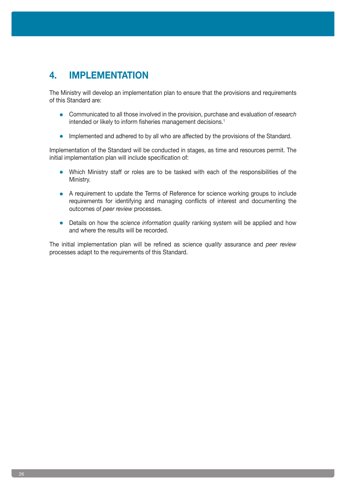# **4. IMPLEMENTATION**

The Ministry will develop an implementation plan to ensure that the provisions and requirements of this Standard are:

- **•**  Communicated to all those involved in the provision, purchase and evaluation of *research* intended or likely to inform fisheries management decisions.<sup>1</sup>
- **•** Implemented and adhered to by all who are affected by the provisions of the Standard.

Implementation of the Standard will be conducted in stages, as time and resources permit. The initial implementation plan will include specification of:

- Which Ministry staff or roles are to be tasked with each of the responsibilities of the Ministry.
- **•** A requirement to update the Terms of Reference for science working groups to include requirements for identifying and managing conflicts of interest and documenting the outcomes of *peer review* processes.
- Details on how the *science information quality* ranking system will be applied and how and where the results will be recorded.

The initial implementation plan will be refined as science *quality* assurance and *peer review* processes adapt to the requirements of this Standard.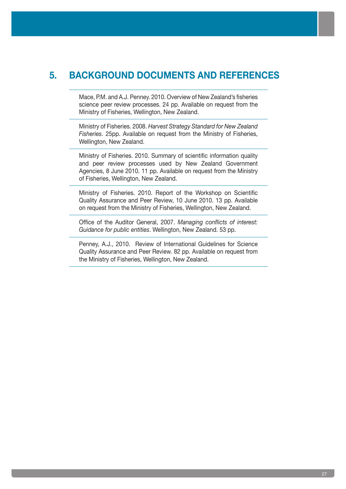# **5. BACKGROUND DOCUMENTS AND REFERENCES**

Mace, P.M. and A.J. Penney. 2010. Overview of New Zealand's fisheries science peer review processes. 24 pp. Available on request from the Ministry of Fisheries, Wellington, New Zealand.

Ministry of Fisheries. 2008. *Harvest Strategy Standard for New Zealand Fisheries*. 25pp. Available on request from the Ministry of Fisheries, Wellington, New Zealand.

Ministry of Fisheries. 2010. Summary of scientific information quality and peer review processes used by New Zealand Government Agencies, 8 June 2010. 11 pp. Available on request from the Ministry of Fisheries, Wellington, New Zealand.

Ministry of Fisheries. 2010. Report of the Workshop on Scientific Quality Assurance and Peer Review, 10 June 2010. 13 pp. Available on request from the Ministry of Fisheries, Wellington, New Zealand.

Office of the Auditor General, 2007. *Managing conflicts of interest: Guidance for public entities*. Wellington, New Zealand. 53 pp.

Penney, A.J., 2010. Review of International Guidelines for Science Quality Assurance and Peer Review. 82 pp. Available on request from the Ministry of Fisheries, Wellington, New Zealand.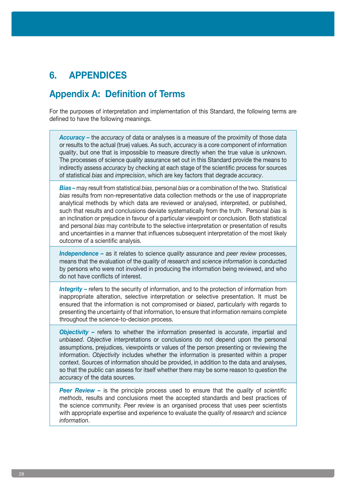# **6. APPENDICES**

# **Appendix A: Definition of Terms**

For the purposes of interpretation and implementation of this Standard, the following terms are defined to have the following meanings.

*Accuracy –* the *accuracy* of data or analyses is a measure of the proximity of those data or results to the actual (true) values. As such, *accuracy* is a core component of information *quality*, but one that is impossible to measure directly when the true value is unknown. The processes of science *quality* assurance set out in this Standard provide the means to indirectly assess *accuracy* by checking at each stage of the scientific process for sources of statistical *bias* and *imprecision*, which are key factors that degrade *accuracy*.

*Bias –* may result from statistical *bias*, personal *bias* or a combination of the two. Statistical *bias* results from non-representative data collection methods or the use of inappropriate analytical methods by which data are reviewed or analysed, interpreted, or published, such that results and conclusions deviate systematically from the truth. Personal *bias* is an inclination or prejudice in favour of a particular viewpoint or conclusion. Both statistical and personal *bias* may contribute to the selective interpretation or presentation of results and uncertainties in a manner that influences subsequent interpretation of the most likely outcome of a scientific analysis.

*Independence –* as it relates to science *quality* assurance and *peer review* processes, means that the evaluation of the *quality* of *research* and *science information* is conducted by persons who were not involved in producing the information being reviewed, and who do not have conflicts of interest.

*Integrity – refers to the security of information, and to the protection of information from* inappropriate alteration, selective interpretation or selective presentation. It must be ensured that the information is not compromised or *biased*, particularly with regards to presenting the uncertainty of that information, to ensure that information remains complete throughout the science-to-decision process.

*Objectivity –* refers to whether the information presented is *accurate*, impartial and *unbiased*. *Objective* interpretations or conclusions do not depend upon the personal assumptions, prejudices, viewpoints or values of the person presenting or reviewing the information. *Objectivity* includes whether the information is presented within a proper context. Sources of information should be provided, in addition to the data and analyses, so that the public can assess for itself whether there may be some reason to question the *accuracy* of the data sources.

*Peer Review –* is the principle process used to ensure that the *quality* of *scientific methods*, results and conclusions meet the accepted standards and best practices of the science community. *Peer review* is an organised process that uses peer scientists with appropriate expertise and experience to evaluate the *quality* of *research* and *science information*.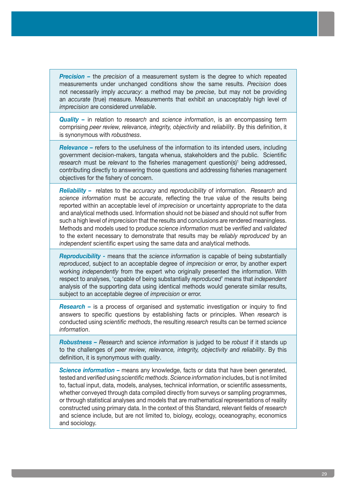*Precision –* the *precision* of a measurement system is the degree to which repeated measurements under unchanged conditions show the same results. *Precision* does not necessarily imply *accuracy*: a method may be *precise*, but may not be providing an *accurate* (true) measure. Measurements that exhibit an unacceptably high level of *imprecision* are considered *unreliable*.

*Quality –* in relation to *research* and *science information*, is an encompassing term comprising *peer review, relevance, integrity, objectivity* and *reliability*. By this definition, it is synonymous with *robustness*.

*Relevance –* refers to the usefulness of the information to its intended users, including government decision-makers, tangata whenua, stakeholders and the public. Scientific research must be relevant to the fisheries management question(s)<sup>1</sup> being addressed, contributing directly to answering those questions and addressing fisheries management objectives for the fishery of concern.

*Reliability –* relates to the *accuracy* and *reproducibility* of information. *Research* and *science information* must be *accurate*, reflecting the true value of the results being reported within an acceptable level of *imprecision* or uncertainty appropriate to the data and analytical methods used. Information should not be *biased* and should not suffer from such a high level of *imprecision* that the results and conclusions are rendered meaningless. Methods and models used to produce *science information* must be *verified* and *validated* to the extent necessary to demonstrate that results may be *reliably reproduced* by an *independent* scientific expert using the same data and analytical methods.

*Reproducibility -* means that the *science information* is capable of being substantially *reproduced*, subject to an acceptable degree of *imprecision* or error, by another expert working *independently* from the expert who originally presented the information. With respect to analyses, 'capable of being substantially *reproduced*' means that *independent* analysis of the supporting data using identical methods would generate similar results, subject to an acceptable degree of *imprecision* or error.

*Research –* is a process of organised and systematic investigation or inquiry to find answers to specific questions by establishing facts or principles. When *research* is conducted using *scientific methods*, the resulting *research* results can be termed *science information*.

*Robustness – Research* and s*cience information* is judged to be *robust* if it stands up to the challenges of *peer review, relevance, integrity, objectivity and reliability*. By this definition, it is synonymous with *quality*.

**Science information -** means any knowledge, facts or data that have been generated, tested and *verified* using *scientific methods*. *Science information* includes, but is not limited to, factual input, data, models, analyses, technical information, or scientific assessments, whether conveyed through data compiled directly from surveys or sampling programmes, or through statistical analyses and models that are mathematical representations of reality constructed using primary data. In the context of this Standard, relevant fields of *research* and science include, but are not limited to, biology, ecology, oceanography, economics and sociology.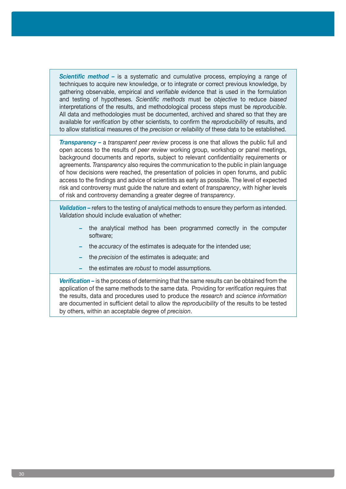*Scientific method –* is a systematic and cumulative process, employing a range of techniques to acquire new knowledge, or to integrate or correct previous knowledge, by gathering observable, empirical and *verifiable* evidence that is used in the formulation and testing of hypotheses. *Scientific methods* must be *objective* to reduce *biased* interpretations of the results, and methodological process steps must be *reproducible*. All data and methodologies must be documented, archived and shared so that they are available for *verification* by other scientists, to confirm the *reproducibility* of results, and to allow statistical measures of the *precision* or *reliability* of these data to be established.

*Transparency –* a *transparent peer review* process is one that allows the public full and open access to the results of *peer review* working group, workshop or panel meetings, background documents and reports, subject to relevant confidentiality requirements or agreements. *Transparency* also requires the communication to the public in plain language of how decisions were reached, the presentation of policies in open forums, and public access to the findings and advice of scientists as early as possible. The level of expected risk and controversy must guide the nature and extent of *transparency*, with higher levels of risk and controversy demanding a greater degree of *transparency*.

**Validation** – refers to the testing of analytical methods to ensure they perform as intended. *Validation* should include evaluation of whether:

- **–** the analytical method has been programmed correctly in the computer software;
- **–** the *accuracy* of the estimates is adequate for the intended use;
- **–** the *precision* of the estimates is adequate; and
- **–** the estimates are *robust* to model assumptions.

*Verification –* is the process of determining that the same results can be obtained from the application of the same methods to the same data. Providing for *verification* requires that the results, data and procedures used to produce the *research* and *science information* are documented in sufficient detail to allow the *reproducibility* of the results to be tested by others, within an acceptable degree of *precision*.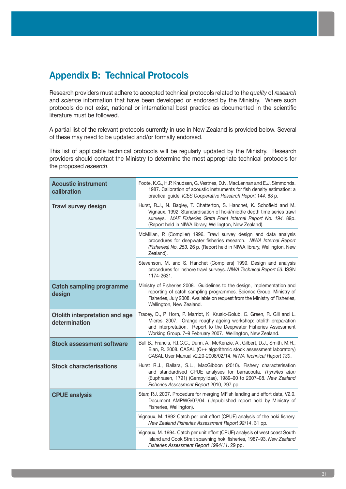# **Appendix B: Technical Protocols**

Research providers must adhere to accepted technical protocols related to the *quality* of *research* and *science* information that have been developed or endorsed by the Ministry. Where such protocols do not exist, national or international best practice as documented in the scientific literature must be followed.

A partial list of the relevant protocols currently in use in New Zealand is provided below. Several of these may need to be updated and/or formally endorsed.

This list of applicable technical protocols will be regularly updated by the Ministry. Research providers should contact the Ministry to determine the most appropriate technical protocols for the proposed *research*.

| <b>Acoustic instrument</b><br>calibration       | Foote, K.G., H.P. Knudsen, G. Vestnes, D.N. MacLennan and E.J. Simmonds.<br>1987. Calibration of acoustic instruments for fish density estimation: a<br>practical guide. ICES Cooperative Research Report 144. 68 p.                                                             |
|-------------------------------------------------|----------------------------------------------------------------------------------------------------------------------------------------------------------------------------------------------------------------------------------------------------------------------------------|
| <b>Trawl survey design</b>                      | Hurst, R.J., N. Bagley, T. Chatterton, S. Hanchet, K. Schofield and M.<br>Vignaux. 1992. Standardisation of hoki/middle depth time series trawl<br>surveys. MAF Fisheries Greta Point Internal Report No. 194. 89p.<br>(Report held in NIWA library, Wellington, New Zealand).   |
|                                                 | McMillan, P. (Compiler) 1996. Trawl survey design and data analysis<br>procedures for deepwater fisheries research. NIWA Internal Report<br>(Fisheries) No. 253. 26 p. (Report held in NIWA library, Wellington, New<br>Zealand).                                                |
|                                                 | Stevenson, M. and S. Hanchet (Compilers) 1999. Design and analysis<br>procedures for inshore trawl surveys. NIWA Technical Report 53. ISSN<br>1174-2631.                                                                                                                         |
| <b>Catch sampling programme</b><br>design       | Ministry of Fisheries 2008. Guidelines to the design, implementation and<br>reporting of catch sampling programmes. Science Group, Ministry of<br>Fisheries, July 2008. Available on request from the Ministry of Fisheries,<br>Wellington, New Zealand.                         |
| Otolith interpretation and age<br>determination | Tracey, D., P. Horn, P. Marriot, K. Krusic-Golub, C. Green, R. Gili and L.<br>Mieres. 2007. Orange roughy ageing workshop: otolith preparation<br>and interpretation. Report to the Deepwater Fisheries Assessment<br>Working Group. 7-9 February 2007. Wellington, New Zealand. |
| <b>Stock assessment software</b>                | Bull B., Francis, R.I.C.C., Dunn, A., McKenzie, A., Gilbert, D.J., Smith, M.H.,<br>Bian, R. 2008. CASAL (C++ algorithmic stock assessment laboratory)<br>CASAL User Manual v2.20-2008/02/14. NIWA Technical Report 130.                                                          |
| <b>Stock characterisations</b>                  | Hurst R.J., Ballara, S.L., MacGibbon (2010). Fishery characterisation<br>and standardised CPUE analyses for barracouta, Thyrsites atun<br>(Euphrasen, 1791) (Gempylidae), 1989-90 to 2007-08. New Zealand<br>Fisheries Assessment Report 2010, 297 pp.                           |
| <b>CPUE analysis</b>                            | Starr, P.J. 2007. Procedure for merging MFish landing and effort data, V2.0.<br>Document AMPWG/07/04. (Unpublished report held by Ministry of<br>Fisheries, Wellington).                                                                                                         |
|                                                 | Vignaux, M. 1992 Catch per unit effort (CPUE) analysis of the hoki fishery.<br>New Zealand Fisheries Assessment Report 92/14. 31 pp.                                                                                                                                             |
|                                                 | Vignaux, M. 1994. Catch per unit effort (CPUE) analysis of west coast South<br>Island and Cook Strait spawning hoki fisheries, 1987-93. New Zealand<br>Fisheries Assessment Report 1994/11. 29 pp.                                                                               |